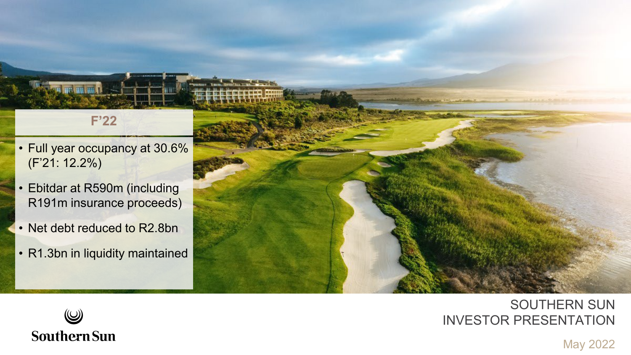#### **F'22**

- Full year occupancy at 30.6% (F'21: 12.2%)
- Ebitdar at R590m (including R191m insurance proceeds)
- Net debt reduced to R2.8bn
- R1.3bn in liquidity maintained



### SOUTHERN SUN INVESTOR PRESENTATION



May 2022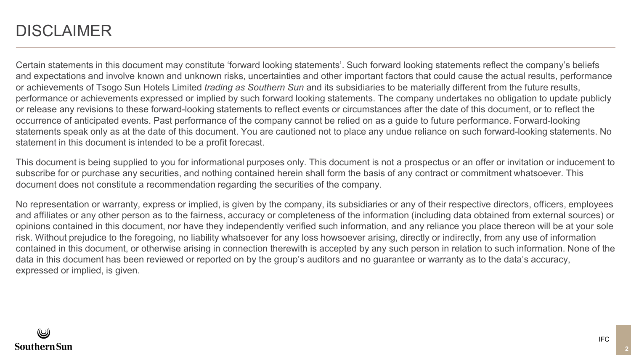### **DISCLAIMER**

Certain statements in this document may constitute 'forward looking statements'. Such forward looking statements reflect the company's beliefs and expectations and involve known and unknown risks, uncertainties and other important factors that could cause the actual results, performance or achievements of Tsogo Sun Hotels Limited *trading as Southern Sun* and its subsidiaries to be materially different from the future results, performance or achievements expressed or implied by such forward looking statements. The company undertakes no obligation to update publicly or release any revisions to these forward-looking statements to reflect events or circumstances after the date of this document, or to reflect the occurrence of anticipated events. Past performance of the company cannot be relied on as a guide to future performance. Forward-looking statements speak only as at the date of this document. You are cautioned not to place any undue reliance on such forward-looking statements. No statement in this document is intended to be a profit forecast.

This document is being supplied to you for informational purposes only. This document is not a prospectus or an offer or invitation or inducement to subscribe for or purchase any securities, and nothing contained herein shall form the basis of any contract or commitment whatsoever. This document does not constitute a recommendation regarding the securities of the company.

No representation or warranty, express or implied, is given by the company, its subsidiaries or any of their respective directors, officers, employees and affiliates or any other person as to the fairness, accuracy or completeness of the information (including data obtained from external sources) or opinions contained in this document, nor have they independently verified such information, and any reliance you place thereon will be at your sole risk. Without prejudice to the foregoing, no liability whatsoever for any loss howsoever arising, directly or indirectly, from any use of information contained in this document, or otherwise arising in connection therewith is accepted by any such person in relation to such information. None of the data in this document has been reviewed or reported on by the group's auditors and no guarantee or warranty as to the data's accuracy, expressed or implied, is given.

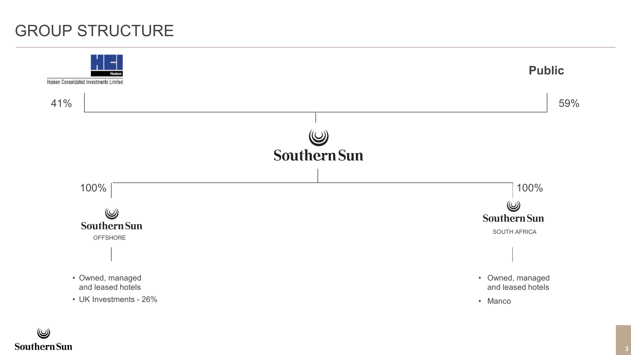### GROUP STRUCTURE

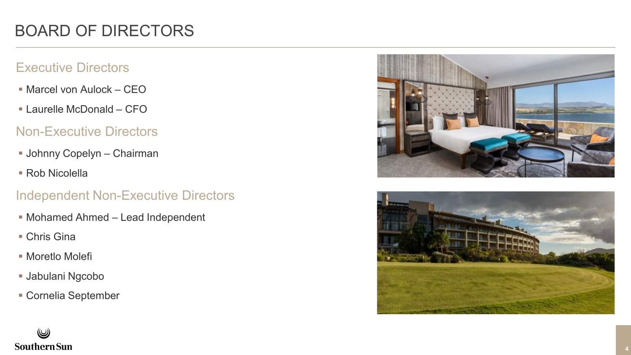#### Executive Directors

- Marcel von Aulock CEO
- Laurelle McDonald CFO

#### Non -Executive Directors

- Johnny Copelyn Chairman
- Rob Nicolella

#### Independent Non -Executive Directors

- Mohamed Ahmed Lead Independent
- Chris Gina
- Moretlo Molefi
- Jabulani Ngcobo
- Cornelia September



![](_page_3_Picture_14.jpeg)

# **Southern Sun**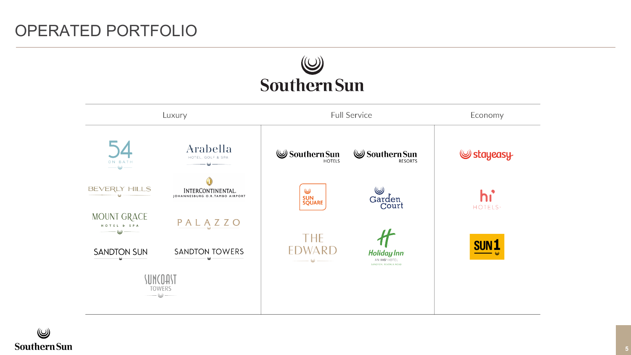![](_page_4_Picture_1.jpeg)

![](_page_4_Figure_2.jpeg)

 $\circledB$ **Southern Sun**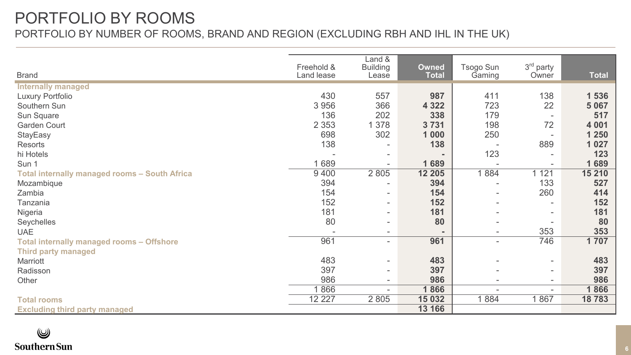### PORTFOLIO BY ROOMS PORTFOLIO BY NUMBER OF ROOMS, BRAND AND REGION (EXCLUDING RBH AND IHL IN THE UK)

| <b>Brand</b>                                  | Freehold &<br>Land lease | Land &<br><b>Building</b><br>Lease | Owned<br><b>Total</b> | Tsogo Sun<br>Gaming      | 3 <sup>rd</sup> party<br>Owner | <b>Total</b> |
|-----------------------------------------------|--------------------------|------------------------------------|-----------------------|--------------------------|--------------------------------|--------------|
| <b>Internally managed</b>                     |                          |                                    |                       |                          |                                |              |
| <b>Luxury Portfolio</b>                       | 430                      | 557                                | 987                   | 411                      | 138                            | 1 536        |
| Southern Sun                                  | 3 9 5 6                  | 366                                | 4 3 2 2               | 723                      | 22                             | 5 0 6 7      |
| Sun Square                                    | 136                      | 202                                | 338                   | 179                      | $\sim$                         | 517          |
| <b>Garden Court</b>                           | 2 3 5 3                  | 1 3 7 8                            | 3731                  | 198                      | 72                             | 4 0 0 1      |
| StayEasy                                      | 698                      | 302                                | 1 0 0 0               | 250                      |                                | 1 2 5 0      |
| Resorts                                       | 138                      |                                    | 138                   | $\overline{a}$           | 889                            | 1 0 2 7      |
| hi Hotels                                     |                          | ٠                                  |                       | 123                      |                                | 123          |
| Sun 1                                         | 1689                     |                                    | 1689                  |                          |                                | 1689         |
| Total internally managed rooms - South Africa | 9 4 0 0                  | 2 8 0 5                            | 12 205                | 1884                     | 1121                           | 15 210       |
| Mozambique                                    | 394                      |                                    | 394                   |                          | 133                            | 527          |
| Zambia                                        | 154                      | ٠                                  | 154                   | $\overline{\phantom{a}}$ | 260                            | 414          |
| Tanzania                                      | 152                      | ۰                                  | 152                   |                          |                                | 152          |
| Nigeria                                       | 181                      | ٠                                  | 181                   |                          |                                | 181          |
| Seychelles                                    | 80                       | ٠                                  | 80                    |                          |                                | 80           |
| <b>UAE</b>                                    |                          | ٠                                  |                       | $\sim$                   | 353                            | 353          |
| Total internally managed rooms - Offshore     | 961                      | $\overline{\phantom{a}}$           | 961                   | $\sim$                   | 746                            | 1707         |
| <b>Third party managed</b>                    |                          |                                    |                       |                          |                                |              |
| Marriott                                      | 483                      | ٠                                  | 483                   |                          | ۰                              | 483          |
| Radisson                                      | 397                      | ٠                                  | 397                   |                          | $\sim$                         | 397          |
| Other                                         | 986                      | $\overline{\phantom{a}}$           | 986                   |                          | $\sim$                         | 986          |
|                                               | 1866                     |                                    | 1866                  |                          |                                | 1866         |
| <b>Total rooms</b>                            | 12 2 2 7                 | 2 8 0 5                            | 15 032                | 1884                     | 1867                           | 18783        |
| <b>Excluding third party managed</b>          |                          |                                    | 13 166                |                          |                                |              |

#### $\circledB$ **Southern Sun**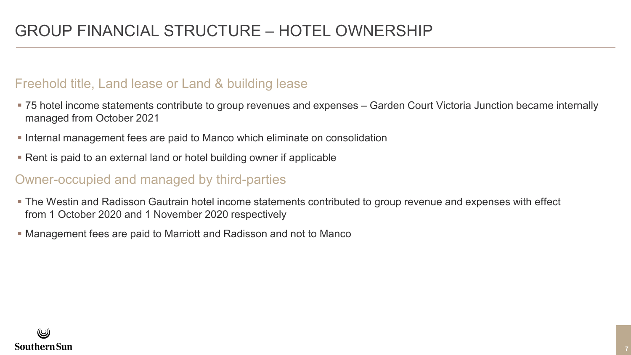#### Freehold title, Land lease or Land & building lease

- 75 hotel income statements contribute to group revenues and expenses Garden Court Victoria Junction became internally managed from October 2021
- **Internal management fees are paid to Manco which eliminate on consolidation**
- Rent is paid to an external land or hotel building owner if applicable

#### Owner-occupied and managed by third-parties

- The Westin and Radisson Gautrain hotel income statements contributed to group revenue and expenses with effect from 1 October 2020 and 1 November 2020 respectively
- Management fees are paid to Marriott and Radisson and not to Manco

![](_page_6_Picture_8.jpeg)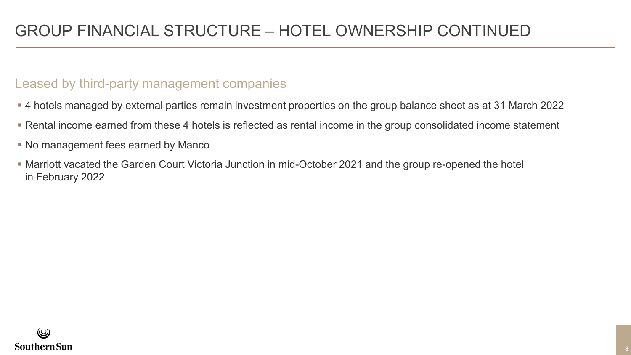#### Leased by third-party management companies

- 4 hotels managed by external parties remain investment properties on the group balance sheet as at 31 March 2022
- Rental income earned from these 4 hotels is reflected as rental income in the group consolidated income statement
- No management fees earned by Manco
- Marriott vacated the Garden Court Victoria Junction in mid-October 2021 and the group re-opened the hotel in February 2022

![](_page_7_Picture_6.jpeg)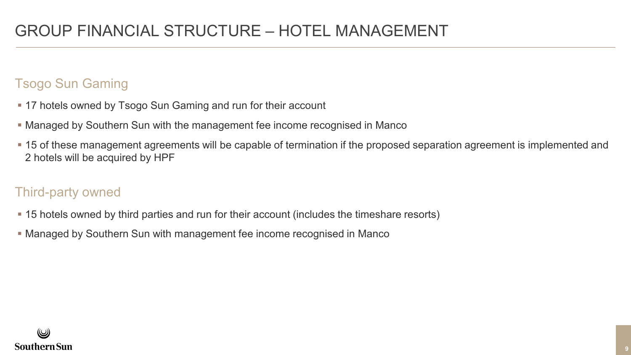### Tsogo Sun Gaming

- **17 hotels owned by Tsogo Sun Gaming and run for their account**
- Managed by Southern Sun with the management fee income recognised in Manco
- **-15 of these management agreements will be capable of termination if the proposed separation agreement is implemented and** 2 hotels will be acquired by HPF

### Third-party owned

- 15 hotels owned by third parties and run for their account (includes the timeshare resorts)
- Managed by Southern Sun with management fee income recognised in Manco

![](_page_8_Picture_8.jpeg)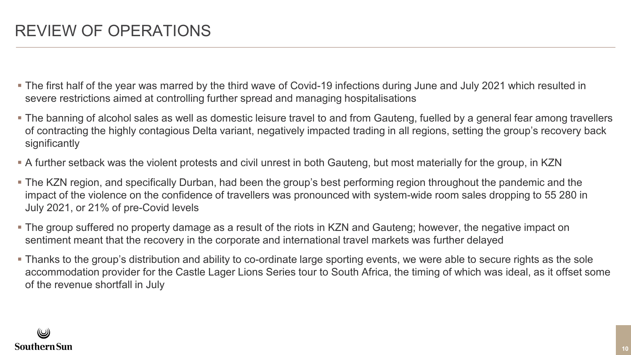- The first half of the year was marred by the third wave of Covid-19 infections during June and July 2021 which resulted in severe restrictions aimed at controlling further spread and managing hospitalisations
- The banning of alcohol sales as well as domestic leisure travel to and from Gauteng, fuelled by a general fear among travellers of contracting the highly contagious Delta variant, negatively impacted trading in all regions, setting the group's recovery back significantly
- A further setback was the violent protests and civil unrest in both Gauteng, but most materially for the group, in KZN
- The KZN region, and specifically Durban, had been the group's best performing region throughout the pandemic and the impact of the violence on the confidence of travellers was pronounced with system-wide room sales dropping to 55 280 in July 2021, or 21% of pre-Covid levels
- The group suffered no property damage as a result of the riots in KZN and Gauteng; however, the negative impact on sentiment meant that the recovery in the corporate and international travel markets was further delayed
- Thanks to the group's distribution and ability to co-ordinate large sporting events, we were able to secure rights as the sole accommodation provider for the Castle Lager Lions Series tour to South Africa, the timing of which was ideal, as it offset some of the revenue shortfall in July

![](_page_9_Picture_7.jpeg)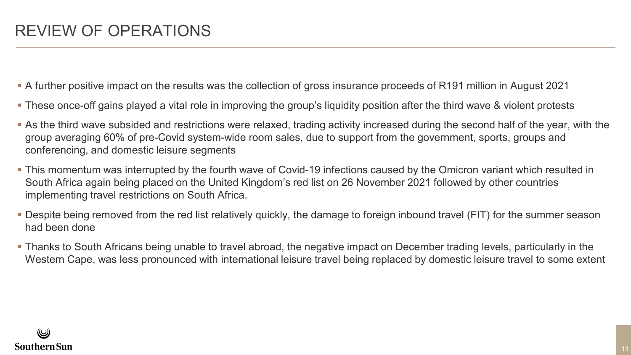- A further positive impact on the results was the collection of gross insurance proceeds of R191 million in August 2021
- These once-off gains played a vital role in improving the group's liquidity position after the third wave & violent protests
- As the third wave subsided and restrictions were relaxed, trading activity increased during the second half of the year, with the group averaging 60% of pre-Covid system-wide room sales, due to support from the government, sports, groups and conferencing, and domestic leisure segments
- This momentum was interrupted by the fourth wave of Covid-19 infections caused by the Omicron variant which resulted in South Africa again being placed on the United Kingdom's red list on 26 November 2021 followed by other countries implementing travel restrictions on South Africa.
- Despite being removed from the red list relatively quickly, the damage to foreign inbound travel (FIT) for the summer season had been done
- Thanks to South Africans being unable to travel abroad, the negative impact on December trading levels, particularly in the Western Cape, was less pronounced with international leisure travel being replaced by domestic leisure travel to some extent

![](_page_10_Picture_7.jpeg)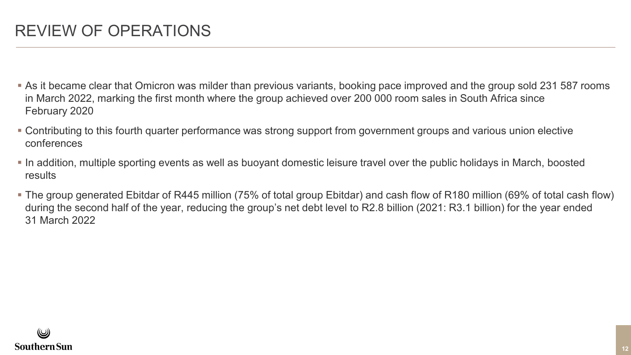- As it became clear that Omicron was milder than previous variants, booking pace improved and the group sold 231 587 rooms in March 2022, marking the first month where the group achieved over 200 000 room sales in South Africa since February 2020
- Contributing to this fourth quarter performance was strong support from government groups and various union elective conferences
- In addition, multiple sporting events as well as buoyant domestic leisure travel over the public holidays in March, boosted results
- The group generated Ebitdar of R445 million (75% of total group Ebitdar) and cash flow of R180 million (69% of total cash flow) during the second half of the year, reducing the group's net debt level to R2.8 billion (2021: R3.1 billion) for the year ended 31 March 2022

![](_page_11_Picture_5.jpeg)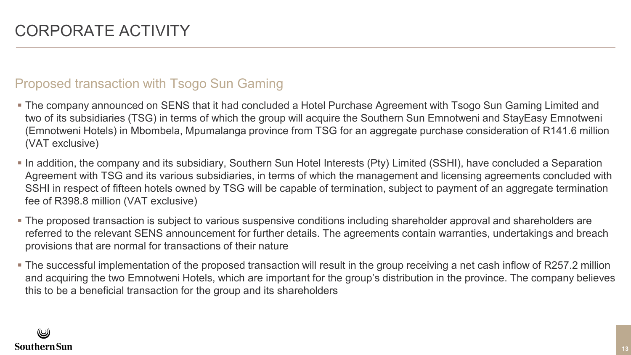#### Proposed transaction with Tsogo Sun Gaming

- The company announced on SENS that it had concluded a Hotel Purchase Agreement with Tsogo Sun Gaming Limited and two of its subsidiaries (TSG) in terms of which the group will acquire the Southern Sun Emnotweni and StayEasy Emnotweni (Emnotweni Hotels) in Mbombela, Mpumalanga province from TSG for an aggregate purchase consideration of R141.6 million (VAT exclusive)
- In addition, the company and its subsidiary, Southern Sun Hotel Interests (Pty) Limited (SSHI), have concluded a Separation Agreement with TSG and its various subsidiaries, in terms of which the management and licensing agreements concluded with SSHI in respect of fifteen hotels owned by TSG will be capable of termination, subject to payment of an aggregate termination fee of R398.8 million (VAT exclusive)
- The proposed transaction is subject to various suspensive conditions including shareholder approval and shareholders are referred to the relevant SENS announcement for further details. The agreements contain warranties, undertakings and breach provisions that are normal for transactions of their nature
- The successful implementation of the proposed transaction will result in the group receiving a net cash inflow of R257.2 million and acquiring the two Emnotweni Hotels, which are important for the group's distribution in the province. The company believes this to be a beneficial transaction for the group and its shareholders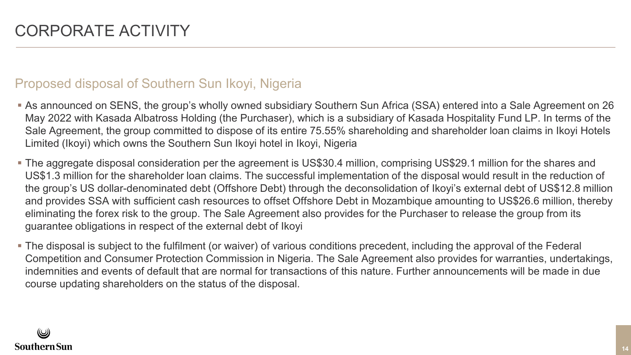#### Proposed disposal of Southern Sun Ikoyi, Nigeria

- As announced on SENS, the group's wholly owned subsidiary Southern Sun Africa (SSA) entered into a Sale Agreement on 26 May 2022 with Kasada Albatross Holding (the Purchaser), which is a subsidiary of Kasada Hospitality Fund LP. In terms of the Sale Agreement, the group committed to dispose of its entire 75.55% shareholding and shareholder loan claims in Ikoyi Hotels Limited (Ikoyi) which owns the Southern Sun Ikoyi hotel in Ikoyi, Nigeria
- The aggregate disposal consideration per the agreement is US\$30.4 million, comprising US\$29.1 million for the shares and US\$1.3 million for the shareholder loan claims. The successful implementation of the disposal would result in the reduction of the group's US dollar-denominated debt (Offshore Debt) through the deconsolidation of Ikoyi's external debt of US\$12.8 million and provides SSA with sufficient cash resources to offset Offshore Debt in Mozambique amounting to US\$26.6 million, thereby eliminating the forex risk to the group. The Sale Agreement also provides for the Purchaser to release the group from its guarantee obligations in respect of the external debt of Ikoyi
- The disposal is subject to the fulfilment (or waiver) of various conditions precedent, including the approval of the Federal Competition and Consumer Protection Commission in Nigeria. The Sale Agreement also provides for warranties, undertakings, indemnities and events of default that are normal for transactions of this nature. Further announcements will be made in due course updating shareholders on the status of the disposal.

![](_page_13_Picture_5.jpeg)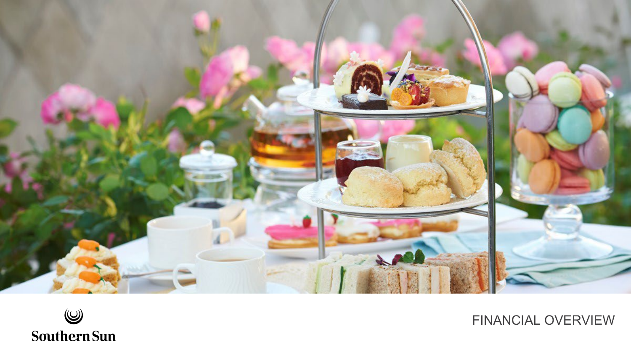![](_page_14_Picture_0.jpeg)

![](_page_14_Picture_1.jpeg)

FINANCIAL OVERVIEW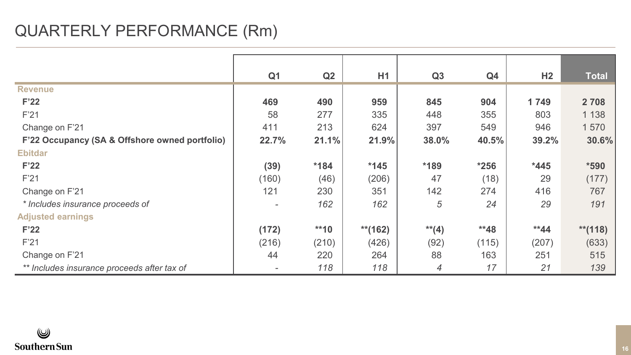# QUARTERLY PERFORMANCE (Rm)

|                                                | Q <sub>1</sub>           | Q2     | H1         | Q3       | Q <sub>4</sub> | H <sub>2</sub> | <b>Total</b> |
|------------------------------------------------|--------------------------|--------|------------|----------|----------------|----------------|--------------|
| <b>Revenue</b>                                 |                          |        |            |          |                |                |              |
| F'22                                           | 469                      | 490    | 959        | 845      | 904            | 1749           | 2 7 0 8      |
| F'21                                           | 58                       | 277    | 335        | 448      | 355            | 803            | 1 1 3 8      |
| Change on F'21                                 | 411                      | 213    | 624        | 397      | 549            | 946            | 1570         |
| F'22 Occupancy (SA & Offshore owned portfolio) | 22.7%                    | 21.1%  | 21.9%      | 38.0%    | 40.5%          | 39.2%          | 30.6%        |
| <b>Ebitdar</b>                                 |                          |        |            |          |                |                |              |
| F <sup>22</sup>                                | (39)                     | $*184$ | $*145$     | *189     | $*256$         | $*445$         | $*590$       |
| F <sub>21</sub>                                | (160)                    | (46)   | (206)      | 47       | (18)           | 29             | (177)        |
| Change on F'21                                 | 121                      | 230    | 351        | 142      | 274            | 416            | 767          |
| * Includes insurance proceeds of               | $\overline{\phantom{a}}$ | 162    | 162        | 5        | 24             | 29             | 191          |
| <b>Adjusted earnings</b>                       |                          |        |            |          |                |                |              |
| F <sup>22</sup>                                | (172)                    | $**10$ | $**$ (162) | $**$ (4) | $*48$          | $*44$          | $**$ (118)   |
| F'21                                           | (216)                    | (210)  | (426)      | (92)     | (115)          | (207)          | (633)        |
| Change on F'21                                 | 44                       | 220    | 264        | 88       | 163            | 251            | 515          |
| ** Includes insurance proceeds after tax of    | $\overline{\phantom{a}}$ | 118    | 118        | 4        | 17             | 21             | 139          |

![](_page_15_Picture_2.jpeg)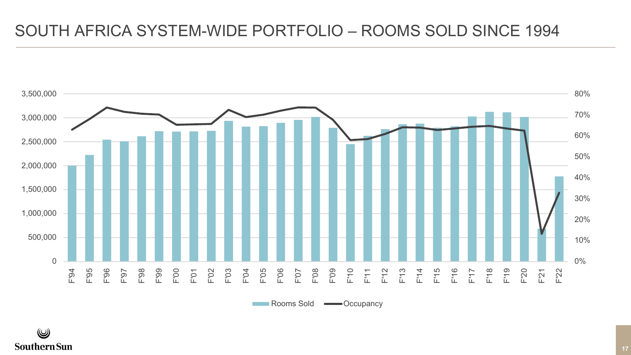### SOUTH AFRICA SYSTEM-WIDE PORTFOLIO – ROOMS SOLD SINCE 1994

![](_page_16_Figure_1.jpeg)

Rooms Sold — Occupancy

![](_page_16_Picture_4.jpeg)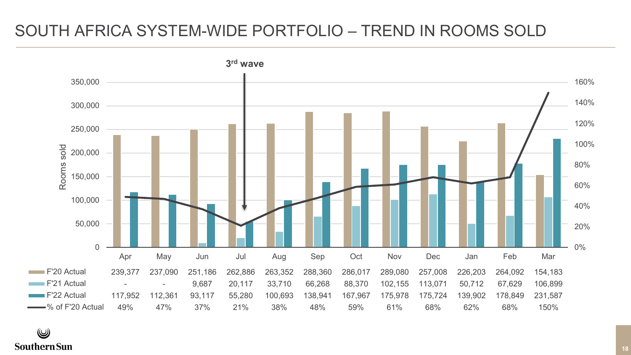### SOUTH AFRICA SYSTEM-WIDE PORTFOLIO – TREND IN ROOMS SOLD

![](_page_17_Figure_1.jpeg)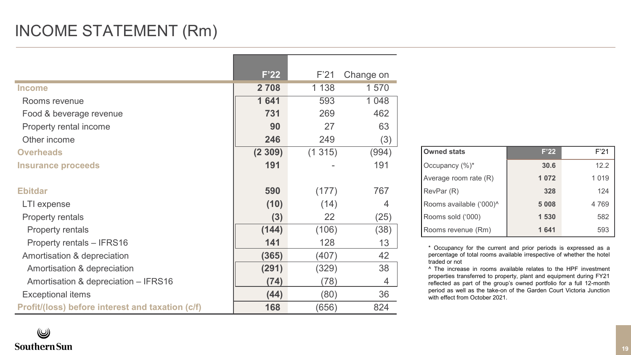# INCOME STATEMENT (Rm)

|                                                  | F'22    | F'21    | Change on |                                                                                                                                             |         |         |
|--------------------------------------------------|---------|---------|-----------|---------------------------------------------------------------------------------------------------------------------------------------------|---------|---------|
| <b>Income</b>                                    | 2 7 0 8 | 1 1 3 8 | 1570      |                                                                                                                                             |         |         |
| Rooms revenue                                    | 1641    | 593     | 1048      |                                                                                                                                             |         |         |
| Food & beverage revenue                          | 731     | 269     | 462       |                                                                                                                                             |         |         |
| Property rental income                           | 90      | 27      | 63        |                                                                                                                                             |         |         |
| Other income                                     | 246     | 249     | (3)       |                                                                                                                                             |         |         |
| <b>Overheads</b>                                 | (2309)  | (1315)  | (994)     | <b>Owned stats</b>                                                                                                                          | F'22    | F'21    |
| Insurance proceeds                               | 191     |         | 191       | Occupancy (%)*                                                                                                                              | 30.6    | 12.2    |
|                                                  |         |         |           | Average room rate (R)                                                                                                                       | 1072    | 1 0 1 9 |
| <b>Ebitdar</b>                                   | 590     | (177)   | 767       | RevPar (R)                                                                                                                                  | 328     | 124     |
| LTI expense                                      | (10)    | (14)    | 4         | Rooms available ('000)^                                                                                                                     | 5 0 0 8 | 4769    |
| Property rentals                                 | (3)     | 22      | (25)      | Rooms sold ('000)                                                                                                                           | 1530    | 582     |
| Property rentals                                 | (144)   | (106)   | (38)      | Rooms revenue (Rm)                                                                                                                          | 1641    | 593     |
| Property rentals - IFRS16                        | 141     | 128     | 13        | * Occupancy for the current and prior periods is expressed as a                                                                             |         |         |
| Amortisation & depreciation                      | (365)   | (407)   | 42        | percentage of total rooms available irrespective of whether the hotel<br>traded or not                                                      |         |         |
| Amortisation & depreciation                      | (291)   | (329)   | 38        | ^ The increase in rooms available relates to the HPF investment                                                                             |         |         |
| Amortisation & depreciation - IFRS16             | (74)    | (78)    | 4         | properties transferred to property, plant and equipment during FY21<br>reflected as part of the group's owned portfolio for a full 12-month |         |         |
| Exceptional items                                | (44)    | (80)    | 36        | period as well as the take-on of the Garden Court Victoria Junction<br>with effect from October 2021.                                       |         |         |
| Profit/(loss) before interest and taxation (c/f) | 168     | (656)   | 824       |                                                                                                                                             |         |         |

| <b>Owned stats</b>      | F'22    | F'21    |
|-------------------------|---------|---------|
| Occupancy (%)*          | 30.6    | 12.2    |
| Average room rate (R)   | 1072    | 1 0 1 9 |
| RevPar (R)              | 328     | 124     |
| Rooms available ('000)^ | 5 0 0 8 | 4 7 6 9 |
| Rooms sold ('000)       | 1530    | 582     |
| Rooms revenue (Rm)      | 1641    | 593     |

٧ **Southern Sun**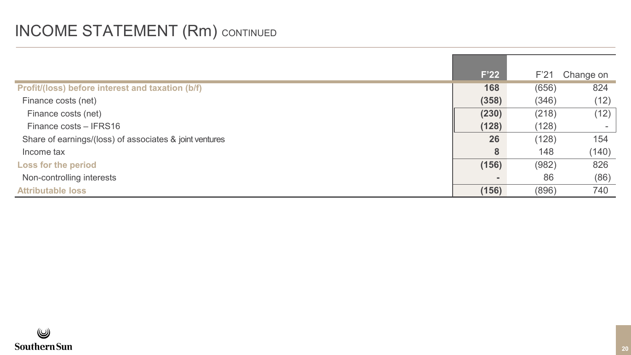# INCOME STATEMENT (Rm) CONTINUED

|                                                         | F'22  | F'21  | Change on |
|---------------------------------------------------------|-------|-------|-----------|
| Profit/(loss) before interest and taxation (b/f)        | 168   | (656) | 824       |
| Finance costs (net)                                     | (358) | (346) | (12)      |
| Finance costs (net)                                     | (230) | (218) | (12)      |
| Finance costs - IFRS16                                  | (128) | (128) |           |
| Share of earnings/(loss) of associates & joint ventures | 26    | (128) | 154       |
| Income tax                                              | 8     | 148   | (140)     |
| Loss for the period                                     | (156) | (982) | 826       |
| Non-controlling interests                               |       | 86    | (86)      |
| <b>Attributable loss</b>                                | (156) | (896) | 740       |

![](_page_19_Picture_2.jpeg)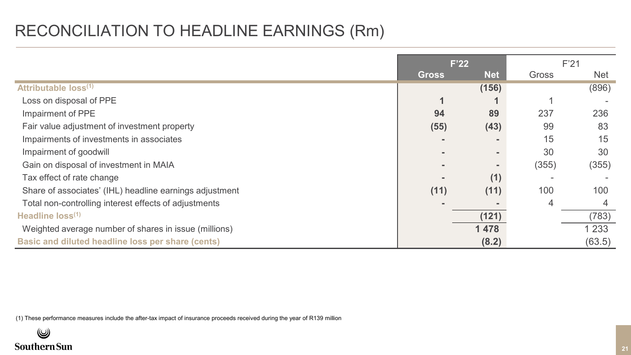### RECONCILIATION TO HEADLINE EARNINGS (Rm)

|                                                          |              | F'22           | F'21  |            |
|----------------------------------------------------------|--------------|----------------|-------|------------|
|                                                          | <b>Gross</b> | <b>Net</b>     | Gross | <b>Net</b> |
| Attributable loss(1)                                     |              |                |       |            |
|                                                          |              | (156)          |       | (896)      |
| Loss on disposal of PPE                                  |              |                |       |            |
| Impairment of PPE                                        | 94           | 89             | 237   | 236        |
| Fair value adjustment of investment property             | (55)         | (43)           | 99    | 83         |
| Impairments of investments in associates                 |              | $\blacksquare$ | 15    | 15         |
| Impairment of goodwill                                   |              | $\sim$         | 30    | 30         |
| Gain on disposal of investment in MAIA                   |              | $\blacksquare$ | (355) | (355)      |
| Tax effect of rate change                                |              | (1)            |       |            |
| Share of associates' (IHL) headline earnings adjustment  | (11)         | (11)           | 100   | 100        |
| Total non-controlling interest effects of adjustments    |              |                | 4     | 4          |
| Headline loss <sup>(1)</sup>                             |              | (121)          |       | (783)      |
| Weighted average number of shares in issue (millions)    |              | 1 4 7 8        |       | 1 2 3 3    |
| <b>Basic and diluted headline loss per share (cents)</b> |              | (8.2)          |       | (63.5)     |

(1) These performance measures include the after-tax impact of insurance proceeds received during the year of R139 million

![](_page_20_Picture_3.jpeg)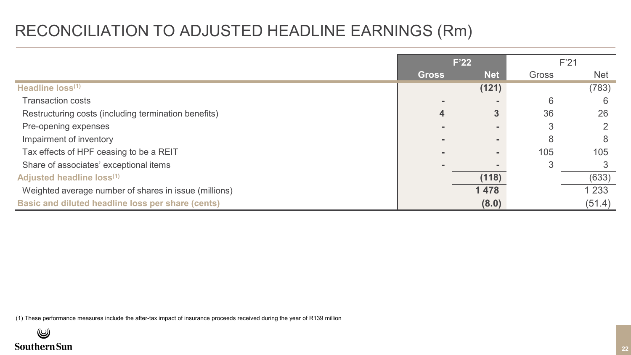### RECONCILIATION TO ADJUSTED HEADLINE EARNINGS (Rm)

|                                                       | F'22         |                |       | F'21       |
|-------------------------------------------------------|--------------|----------------|-------|------------|
|                                                       | <b>Gross</b> | <b>Net</b>     | Gross | <b>Net</b> |
| Headline loss(1)                                      |              | (121)          |       | (783)      |
| <b>Transaction costs</b>                              |              | $\blacksquare$ | 6     | 6          |
| Restructuring costs (including termination benefits)  | 4            | 3              | 36    | 26         |
| Pre-opening expenses                                  |              | $\blacksquare$ | 3     |            |
| Impairment of inventory                               |              | $\sim$         | 8     | 8          |
| Tax effects of HPF ceasing to be a REIT               |              | $\sim$         | 105   | 105        |
| Share of associates' exceptional items                |              | $\blacksquare$ | 3     |            |
| Adjusted headline loss(1)                             |              | (118)          |       | (633)      |
| Weighted average number of shares in issue (millions) |              | 1478           |       | 1 2 3 3    |
| Basic and diluted headline loss per share (cents)     |              | (8.0)          |       | (51.4)     |

(1) These performance measures include the after-tax impact of insurance proceeds received during the year of R139 million

![](_page_21_Picture_3.jpeg)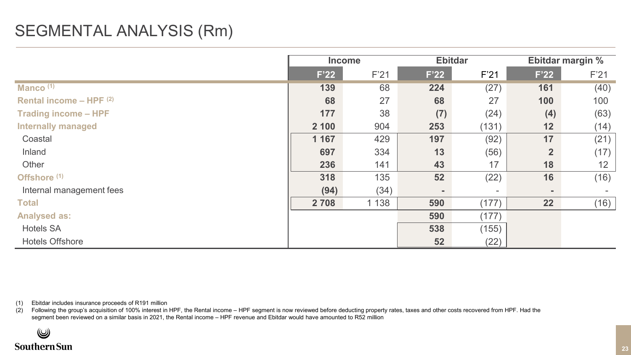### SEGMENTAL ANALYSIS (Rm)

|                             | <b>Income</b> |         | <b>Ebitdar</b> |                          | Ebitdar margin % |      |
|-----------------------------|---------------|---------|----------------|--------------------------|------------------|------|
|                             | F'22          | F'21    | F'22           | F'21                     | F'22             | F'21 |
| Manco $(1)$                 | 139           | 68      | 224            | (27)                     | 161              | (40) |
| Rental income - HPF $(2)$   | 68            | 27      | 68             | 27                       | 100              | 100  |
| <b>Trading income - HPF</b> | 177           | 38      | (7)            | (24)                     | (4)              | (63) |
| <b>Internally managed</b>   | 2 100         | 904     | 253            | (131)                    | 12               | (14) |
| Coastal                     | 1 1 6 7       | 429     | 197            | (92)                     | 17               | (21) |
| Inland                      | 697           | 334     | 13             | (56)                     | $\overline{2}$   | (17) |
| Other                       | 236           | 141     | 43             | 17                       | 18               | 12   |
| Offshore (1)                | 318           | 135     | 52             | (22)                     | 16               | (16) |
| Internal management fees    | (94)          | (34)    | $\blacksquare$ | $\overline{\phantom{a}}$ | ٠.               |      |
| <b>Total</b>                | 2 7 0 8       | 1 1 3 8 | 590            | (177)                    | 22               | (16) |
| <b>Analysed as:</b>         |               |         | 590            | (177)                    |                  |      |
| <b>Hotels SA</b>            |               |         | 538            | (155)                    |                  |      |
| <b>Hotels Offshore</b>      |               |         | 52             | (22)                     |                  |      |

(1) Ebitdar includes insurance proceeds of R191 million

Following the group's acquisition of 100% interest in HPF, the Rental income - HPF segment is now reviewed before deducting property rates, taxes and other costs recovered from HPF. Had the segment been reviewed on a similar basis in 2021, the Rental income – HPF revenue and Ebitdar would have amounted to R52 million

 $\circledB$ **Southern Sun**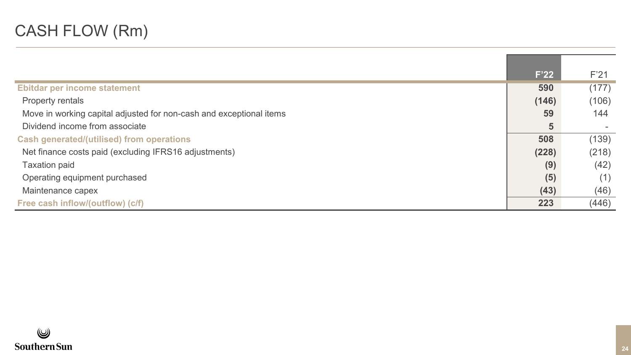# CASH FLOW (Rm)

|                                                                     | F'22  | F'21  |
|---------------------------------------------------------------------|-------|-------|
| Ebitdar per income statement                                        | 590   | (177) |
| Property rentals                                                    | (146) | (106) |
| Move in working capital adjusted for non-cash and exceptional items | 59    | 144   |
| Dividend income from associate                                      | 5     |       |
| <b>Cash generated/(utilised) from operations</b>                    | 508   | (139) |
| Net finance costs paid (excluding IFRS16 adjustments)               | (228) | (218) |
| <b>Taxation paid</b>                                                | (9)   | (42)  |
| Operating equipment purchased                                       | (5)   | (1)   |
| Maintenance capex                                                   | (43)  | (46)  |
| Free cash inflow/(outflow) (c/f)                                    | 223   | (446) |

![](_page_23_Picture_2.jpeg)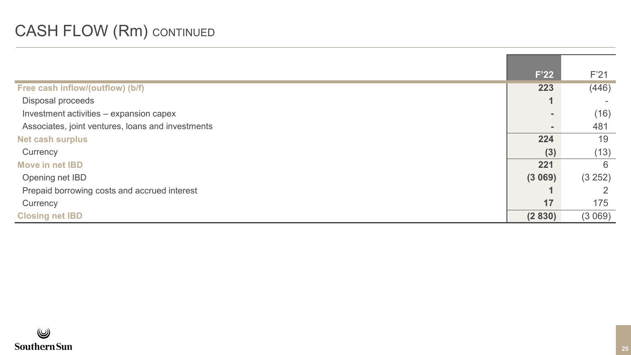# **CASH FLOW (Rm) CONTINUED**

|                                                   | F'22                     | F <sub>21</sub> |
|---------------------------------------------------|--------------------------|-----------------|
| Free cash inflow/(outflow) (b/f)                  | 223                      | (446)           |
| Disposal proceeds                                 | $\overline{\phantom{a}}$ |                 |
| Investment activities - expansion capex           |                          | (16)            |
| Associates, joint ventures, loans and investments |                          | 481             |
| <b>Net cash surplus</b>                           | 224                      | 19              |
| Currency                                          | (3)                      | (13)            |
| Move in net <b>IBD</b>                            | 221                      | 6               |
| Opening net IBD                                   | (3069)                   | (3 252)         |
| Prepaid borrowing costs and accrued interest      |                          |                 |
| Currency                                          | 17                       | 175             |
| <b>Closing net IBD</b>                            | (2830)                   | (3069)          |

![](_page_24_Picture_2.jpeg)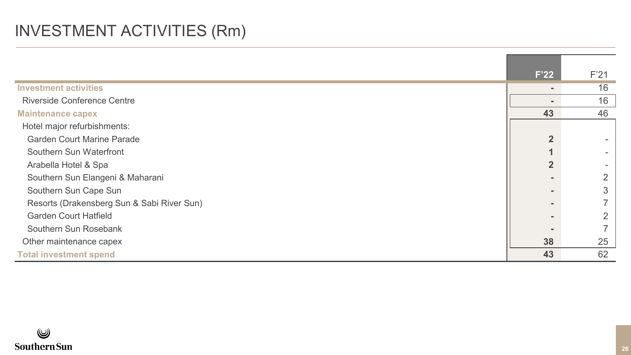# INVESTMENT ACTIVITIES (Rm)

|                                            | F <sup>22</sup> | F'21 |
|--------------------------------------------|-----------------|------|
| <b>Investment activities</b>               |                 | 16   |
| <b>Riverside Conference Centre</b>         |                 | 16   |
| <b>Maintenance capex</b>                   | 43              | 46   |
| Hotel major refurbishments:                |                 |      |
| <b>Garden Court Marine Parade</b>          | $\overline{2}$  |      |
| Southern Sun Waterfront                    |                 |      |
| Arabella Hotel & Spa                       | $\overline{2}$  |      |
| Southern Sun Elangeni & Maharani           |                 |      |
| Southern Sun Cape Sun                      |                 |      |
| Resorts (Drakensberg Sun & Sabi River Sun) |                 |      |
| <b>Garden Court Hatfield</b>               |                 |      |
| Southern Sun Rosebank                      |                 |      |
| Other maintenance capex                    | 38              | 25   |
| <b>Total investment spend</b>              | 43              | 62   |

![](_page_25_Picture_2.jpeg)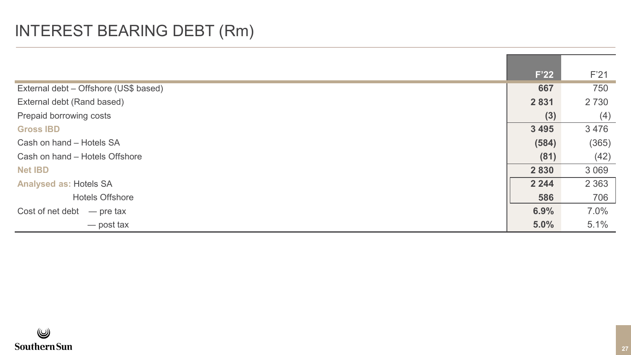# INTEREST BEARING DEBT (Rm)

|                                       | F'22    | F'21    |
|---------------------------------------|---------|---------|
| External debt - Offshore (US\$ based) | 667     | 750     |
| External debt (Rand based)            | 2 8 3 1 | 2 7 3 0 |
| Prepaid borrowing costs               | (3)     | (4)     |
| <b>Gross IBD</b>                      | 3 4 9 5 | 3476    |
| Cash on hand - Hotels SA              | (584)   | (365)   |
| Cash on hand - Hotels Offshore        | (81)    | (42)    |
| <b>Net IBD</b>                        | 2830    | 3 0 6 9 |
| <b>Analysed as: Hotels SA</b>         | 2 2 4 4 | 2 3 6 3 |
| <b>Hotels Offshore</b>                | 586     | 706     |
| Cost of net debt<br>$-$ pre tax       | 6.9%    | 7.0%    |
| — post tax                            | 5.0%    | 5.1%    |

![](_page_26_Picture_2.jpeg)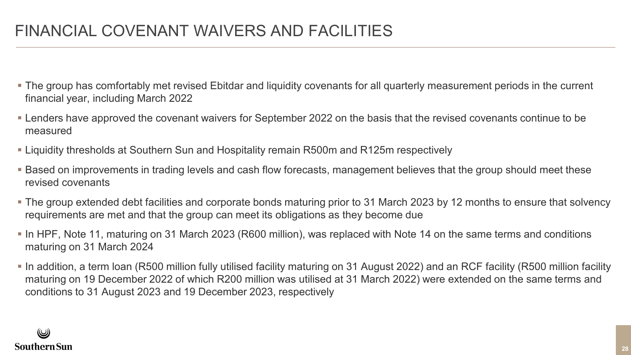- The group has comfortably met revised Ebitdar and liquidity covenants for all quarterly measurement periods in the current financial year, including March 2022
- Lenders have approved the covenant waivers for September 2022 on the basis that the revised covenants continue to be measured
- Liquidity thresholds at Southern Sun and Hospitality remain R500m and R125m respectively
- Based on improvements in trading levels and cash flow forecasts, management believes that the group should meet these revised covenants
- The group extended debt facilities and corporate bonds maturing prior to 31 March 2023 by 12 months to ensure that solvency requirements are met and that the group can meet its obligations as they become due
- In HPF, Note 11, maturing on 31 March 2023 (R600 million), was replaced with Note 14 on the same terms and conditions maturing on 31 March 2024
- In addition, a term loan (R500 million fully utilised facility maturing on 31 August 2022) and an RCF facility (R500 million facility maturing on 19 December 2022 of which R200 million was utilised at 31 March 2022) were extended on the same terms and conditions to 31 August 2023 and 19 December 2023, respectively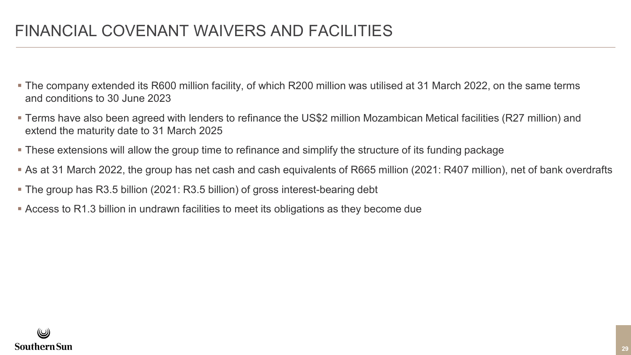### FINANCIAL COVENANT WAIVERS AND FACILITIES

- The company extended its R600 million facility, of which R200 million was utilised at 31 March 2022, on the same terms and conditions to 30 June 2023
- Terms have also been agreed with lenders to refinance the US\$2 million Mozambican Metical facilities (R27 million) and extend the maturity date to 31 March 2025
- These extensions will allow the group time to refinance and simplify the structure of its funding package
- As at 31 March 2022, the group has net cash and cash equivalents of R665 million (2021: R407 million), net of bank overdrafts
- The group has R3.5 billion (2021: R3.5 billion) of gross interest-bearing debt
- Access to R1.3 billion in undrawn facilities to meet its obligations as they become due

![](_page_28_Picture_7.jpeg)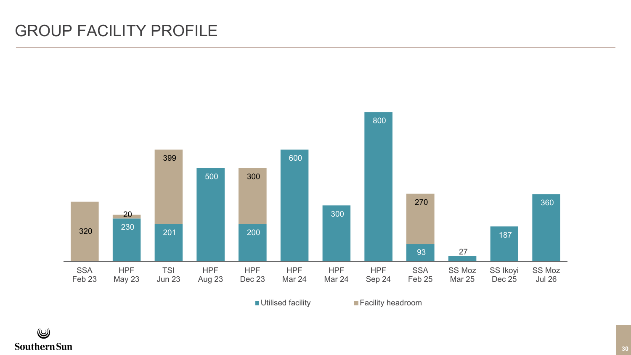### GROUP FACILITY PROFILE

![](_page_29_Figure_1.jpeg)

■ Utilised facility **Facility headroom** 

![](_page_29_Picture_4.jpeg)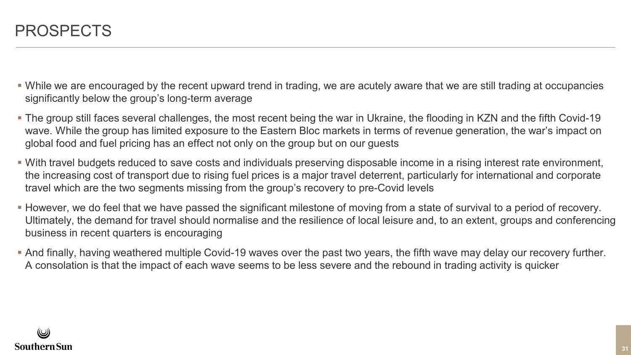- While we are encouraged by the recent upward trend in trading, we are acutely aware that we are still trading at occupancies significantly below the group's long-term average
- The group still faces several challenges, the most recent being the war in Ukraine, the flooding in KZN and the fifth Covid-19 wave. While the group has limited exposure to the Eastern Bloc markets in terms of revenue generation, the war's impact on global food and fuel pricing has an effect not only on the group but on our guests
- With travel budgets reduced to save costs and individuals preserving disposable income in a rising interest rate environment, the increasing cost of transport due to rising fuel prices is a major travel deterrent, particularly for international and corporate travel which are the two segments missing from the group's recovery to pre-Covid levels
- However, we do feel that we have passed the significant milestone of moving from a state of survival to a period of recovery. Ultimately, the demand for travel should normalise and the resilience of local leisure and, to an extent, groups and conferencing business in recent quarters is encouraging
- And finally, having weathered multiple Covid-19 waves over the past two years, the fifth wave may delay our recovery further. A consolation is that the impact of each wave seems to be less severe and the rebound in trading activity is quicker

![](_page_30_Picture_6.jpeg)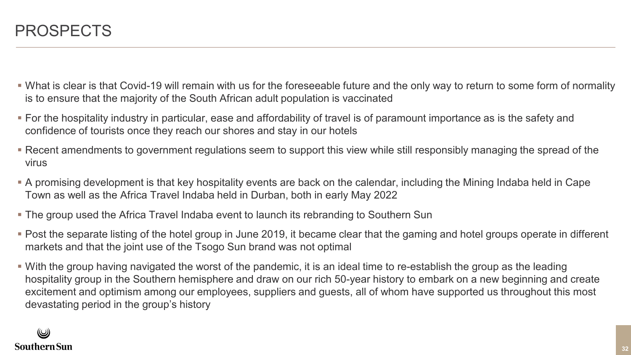- What is clear is that Covid-19 will remain with us for the foreseeable future and the only way to return to some form of normality is to ensure that the majority of the South African adult population is vaccinated
- For the hospitality industry in particular, ease and affordability of travel is of paramount importance as is the safety and confidence of tourists once they reach our shores and stay in our hotels
- Recent amendments to government regulations seem to support this view while still responsibly managing the spread of the virus
- A promising development is that key hospitality events are back on the calendar, including the Mining Indaba held in Cape Town as well as the Africa Travel Indaba held in Durban, both in early May 2022
- The group used the Africa Travel Indaba event to launch its rebranding to Southern Sun
- Post the separate listing of the hotel group in June 2019, it became clear that the gaming and hotel groups operate in different markets and that the joint use of the Tsogo Sun brand was not optimal
- With the group having navigated the worst of the pandemic, it is an ideal time to re-establish the group as the leading hospitality group in the Southern hemisphere and draw on our rich 50-year history to embark on a new beginning and create excitement and optimism among our employees, suppliers and guests, all of whom have supported us throughout this most devastating period in the group's history

#### (پ Southern Sun